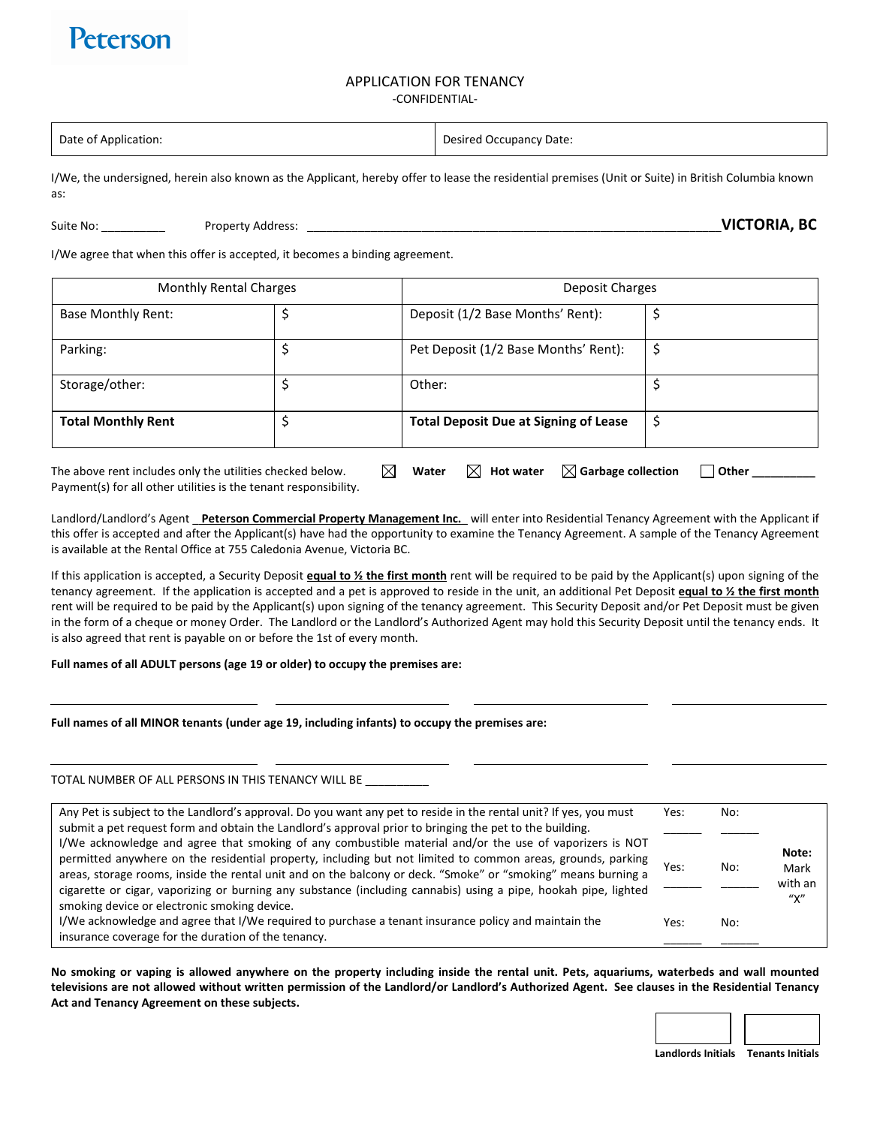# Peterson

## APPLICATION FOR TENANCY

#### -CONFIDENTIAL-

| Date of Application: | <b>Desired Occupancy Date:</b> |
|----------------------|--------------------------------|
|                      |                                |

I/We, the undersigned, herein also known as the Applicant, hereby offer to lease the residential premises (Unit or Suite) in British Columbia known as:

Suite No: \_\_\_\_\_\_\_\_\_\_ Property Address: \_\_\_\_\_\_\_\_\_\_\_\_\_\_\_\_\_\_\_\_\_\_\_\_\_\_\_\_\_\_\_\_\_\_\_\_\_\_\_\_\_\_\_\_\_\_\_\_\_\_\_\_\_\_\_\_\_\_\_\_\_\_\_\_\_**VICTORIA, BC**

I/We agree that when this offer is accepted, it becomes a binding agreement.

| <b>Monthly Rental Charges</b>                             |    | Deposit Charges                                             |       |  |
|-----------------------------------------------------------|----|-------------------------------------------------------------|-------|--|
| Base Monthly Rent:                                        |    | Deposit (1/2 Base Months' Rent):                            |       |  |
| Parking:                                                  |    | Pet Deposit (1/2 Base Months' Rent):                        |       |  |
| Storage/other:                                            |    | Other:                                                      |       |  |
| <b>Total Monthly Rent</b>                                 |    | <b>Total Deposit Due at Signing of Lease</b>                |       |  |
| The above rent includes only the utilities checked below. | IХ | $\boxtimes$ Garbage collection<br>Water<br><b>Hot water</b> | Other |  |

Payment(s) for all other utilities is the tenant responsibility.

Landlord/Landlord's Agent \_ **Peterson Commercial Property Management Inc.**\_ will enter into Residential Tenancy Agreement with the Applicant if this offer is accepted and after the Applicant(s) have had the opportunity to examine the Tenancy Agreement. A sample of the Tenancy Agreement is available at the Rental Office at 755 Caledonia Avenue, Victoria BC.

If this application is accepted, a Security Deposit **equal to ½ the first month** rent will be required to be paid by the Applicant(s) upon signing of the tenancy agreement. If the application is accepted and a pet is approved to reside in the unit, an additional Pet Deposit **equal to ½ the first month** rent will be required to be paid by the Applicant(s) upon signing of the tenancy agreement. This Security Deposit and/or Pet Deposit must be given in the form of a cheque or money Order. The Landlord or the Landlord's Authorized Agent may hold this Security Deposit until the tenancy ends. It is also agreed that rent is payable on or before the 1st of every month.

#### **Full names of all ADULT persons (age 19 or older) to occupy the premises are:**

#### **Full names of all MINOR tenants (under age 19, including infants) to occupy the premises are:**

#### TOTAL NUMBER OF ALL PERSONS IN THIS TENANCY WILL BE

| Any Pet is subject to the Landlord's approval. Do you want any pet to reside in the rental unit? If yes, you must                                                                                                            | Yes: | No: |         |
|------------------------------------------------------------------------------------------------------------------------------------------------------------------------------------------------------------------------------|------|-----|---------|
| submit a pet request form and obtain the Landlord's approval prior to bringing the pet to the building.                                                                                                                      |      |     |         |
| I/We acknowledge and agree that smoking of any combustible material and/or the use of vaporizers is NOT                                                                                                                      |      |     | Note:   |
| permitted anywhere on the residential property, including but not limited to common areas, grounds, parking<br>areas, storage rooms, inside the rental unit and on the balcony or deck. "Smoke" or "smoking" means burning a | Yes: | No: | Mark    |
| cigarette or cigar, vaporizing or burning any substance (including cannabis) using a pipe, hookah pipe, lighted                                                                                                              |      |     | with an |
| smoking device or electronic smoking device.                                                                                                                                                                                 |      |     | "χ"     |
| I/We acknowledge and agree that I/We required to purchase a tenant insurance policy and maintain the                                                                                                                         | Yes: | No: |         |
| insurance coverage for the duration of the tenancy.                                                                                                                                                                          |      |     |         |

**No smoking or vaping is allowed anywhere on the property including inside the rental unit. Pets, aquariums, waterbeds and wall mounted televisions are not allowed without written permission of the Landlord/or Landlord's Authorized Agent. See clauses in the Residential Tenancy Act and Tenancy Agreement on these subjects.** 



**Landlords Initials Tenants Initials**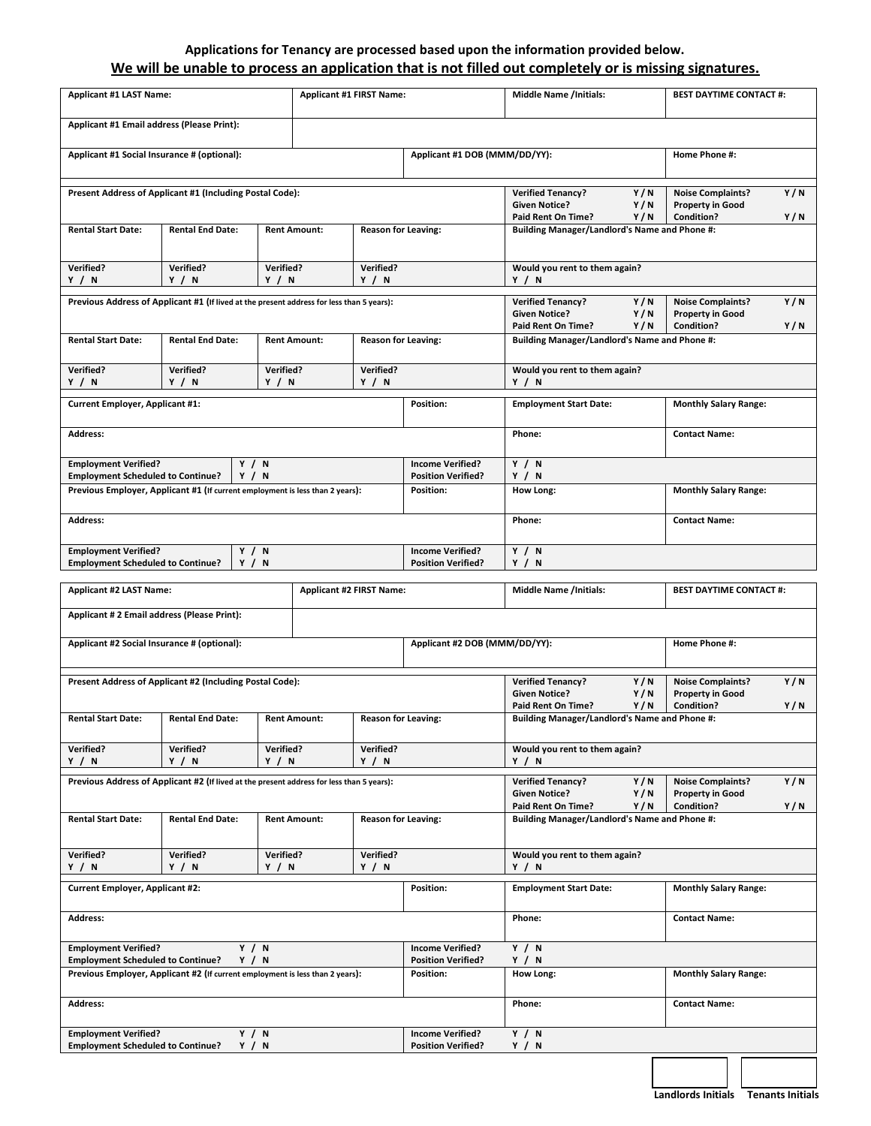## **Applications for Tenancy are processed based upon the information provided below. We will be unable to process an application that is not filled out completely or is missing signatures.**

| <b>Applicant #1 LAST Name:</b>                                                            |                                                                                           | <b>Applicant #1 FIRST Name:</b>                   |                     |                                                                 | <b>Middle Name /Initials:</b>                                                                   |                                                                                                        | <b>BEST DAYTIME CONTACT #:</b> |                                                     |     |
|-------------------------------------------------------------------------------------------|-------------------------------------------------------------------------------------------|---------------------------------------------------|---------------------|-----------------------------------------------------------------|-------------------------------------------------------------------------------------------------|--------------------------------------------------------------------------------------------------------|--------------------------------|-----------------------------------------------------|-----|
| Applicant #1 Email address (Please Print):                                                |                                                                                           |                                                   |                     |                                                                 |                                                                                                 |                                                                                                        |                                |                                                     |     |
| Applicant #1 Social Insurance # (optional):                                               |                                                                                           |                                                   |                     |                                                                 | Applicant #1 DOB (MMM/DD/YY):                                                                   |                                                                                                        |                                | Home Phone #:                                       |     |
| Present Address of Applicant #1 (Including Postal Code):                                  |                                                                                           |                                                   |                     | <b>Verified Tenancy?</b><br><b>Given Notice?</b>                | Y/N<br>Y/N                                                                                      | <b>Noise Complaints?</b><br><b>Property in Good</b>                                                    | Y/N                            |                                                     |     |
| <b>Rental Start Date:</b>                                                                 | <b>Rental End Date:</b>                                                                   | <b>Reason for Leaving:</b><br><b>Rent Amount:</b> |                     |                                                                 | Condition?<br>Paid Rent On Time?<br>Y/N<br>Y/N<br>Building Manager/Landlord's Name and Phone #: |                                                                                                        |                                |                                                     |     |
| <b>Verified?</b><br>Y / N                                                                 | Verified?<br>Verified?<br>Verified?<br>Y / N<br>Y / N<br>Y / N                            |                                                   |                     | Would you rent to them again?<br>Y / N                          |                                                                                                 |                                                                                                        |                                |                                                     |     |
|                                                                                           | Previous Address of Applicant #1 (If lived at the present address for less than 5 years): |                                                   |                     |                                                                 |                                                                                                 | <b>Verified Tenancy?</b><br><b>Given Notice?</b>                                                       | Y/N<br>Y/N                     | <b>Noise Complaints?</b><br><b>Property in Good</b> | Y/N |
| <b>Rental Start Date:</b>                                                                 | <b>Rental End Date:</b>                                                                   |                                                   | <b>Rent Amount:</b> | <b>Reason for Leaving:</b>                                      |                                                                                                 | Condition?<br>Paid Rent On Time?<br>Y/N<br>Y/N<br><b>Building Manager/Landlord's Name and Phone #:</b> |                                |                                                     |     |
| <b>Verified?</b><br>Y/N                                                                   | Verified?<br>Y / N                                                                        | Verified?<br>Y / N                                |                     | Verified?<br>Y / N                                              |                                                                                                 | Would you rent to them again?<br>Y/N                                                                   |                                |                                                     |     |
| Current Employer, Applicant #1:                                                           |                                                                                           |                                                   |                     |                                                                 | <b>Position:</b>                                                                                | <b>Employment Start Date:</b>                                                                          |                                | <b>Monthly Salary Range:</b>                        |     |
| <b>Address:</b>                                                                           |                                                                                           |                                                   |                     |                                                                 |                                                                                                 | Phone:                                                                                                 |                                | <b>Contact Name:</b>                                |     |
| <b>Employment Verified?</b><br><b>Employment Scheduled to Continue?</b>                   | Y / N<br>Y / N                                                                            |                                                   |                     |                                                                 | <b>Income Verified?</b><br><b>Position Verified?</b>                                            | Y / N<br>Y / N                                                                                         |                                |                                                     |     |
|                                                                                           | Previous Employer, Applicant #1 (If current employment is less than 2 years):             |                                                   |                     |                                                                 | Position:                                                                                       | <b>How Long:</b>                                                                                       |                                | <b>Monthly Salary Range:</b>                        |     |
| Address:                                                                                  |                                                                                           |                                                   |                     |                                                                 | Phone:<br><b>Contact Name:</b>                                                                  |                                                                                                        |                                |                                                     |     |
| <b>Employment Verified?</b><br>Y / N<br>Y / N<br><b>Employment Scheduled to Continue?</b> |                                                                                           |                                                   |                     | <b>Income Verified?</b><br><b>Position Verified?</b>            | Y / N<br>Y / N                                                                                  |                                                                                                        |                                |                                                     |     |
| <b>Applicant #2 LAST Name:</b><br><b>Applicant #2 FIRST Name:</b>                         |                                                                                           |                                                   |                     | <b>Middle Name /Initials:</b><br><b>BEST DAYTIME CONTACT #:</b> |                                                                                                 |                                                                                                        |                                |                                                     |     |
|                                                                                           |                                                                                           |                                                   |                     |                                                                 |                                                                                                 |                                                                                                        |                                |                                                     |     |
| Applicant # 2 Email address (Please Print):                                               |                                                                                           |                                                   |                     |                                                                 |                                                                                                 |                                                                                                        |                                |                                                     |     |
| Applicant #2 Social Insurance # (optional):                                               |                                                                                           |                                                   |                     |                                                                 | Applicant #2 DOB (MMM/DD/YY):                                                                   |                                                                                                        |                                | Home Phone #:                                       |     |
|                                                                                           | Present Address of Applicant #2 (Including Postal Code):                                  |                                                   |                     |                                                                 |                                                                                                 | <b>Verified Tenancy?</b>                                                                               | Y/N                            | <b>Noise Complaints?</b>                            | Y/N |
| <b>Rental Start Date:</b>                                                                 | <b>Rental End Date:</b>                                                                   |                                                   | <b>Rent Amount:</b> | <b>Reason for Leaving:</b>                                      |                                                                                                 | <b>Given Notice?</b><br>Paid Rent On Time?                                                             | Y/N<br>Y/N                     | <b>Property in Good</b><br>Condition?               | Y/N |
|                                                                                           |                                                                                           |                                                   |                     |                                                                 |                                                                                                 | <b>Building Manager/Landlord's Name and Phone #:</b>                                                   |                                |                                                     |     |
| <b>Verified?</b><br>Y/N                                                                   | Verified?<br>Y / N                                                                        | Verified?<br>Y / N                                |                     | <b>Verified?</b><br>Y/N                                         |                                                                                                 | Would you rent to them again?<br>Y / N                                                                 |                                |                                                     |     |
|                                                                                           | Previous Address of Applicant #2 (If lived at the present address for less than 5 years): |                                                   |                     |                                                                 |                                                                                                 | <b>Verified Tenancy?</b><br><b>Given Notice?</b>                                                       | Y/N<br>Y/N                     | <b>Noise Complaints?</b><br><b>Property in Good</b> | Y/N |
| <b>Rental Start Date:</b>                                                                 | <b>Rental End Date:</b>                                                                   |                                                   | <b>Rent Amount:</b> | <b>Reason for Leaving:</b>                                      |                                                                                                 | Paid Rent On Time?<br>Building Manager/Landlord's Name and Phone #:                                    | Y/N                            | Condition?                                          | Y/N |
| <b>Verified?</b>                                                                          | Verified?                                                                                 | Verified?                                         |                     | <b>Verified?</b>                                                |                                                                                                 | Would you rent to them again?                                                                          |                                |                                                     |     |
| Y / N<br><b>Current Employer, Applicant #2:</b>                                           | Y / N                                                                                     | Y / N                                             |                     | Y / N                                                           | <b>Position:</b>                                                                                | Y / N<br><b>Employment Start Date:</b>                                                                 |                                | <b>Monthly Salary Range:</b>                        |     |
| <b>Address:</b>                                                                           |                                                                                           |                                                   |                     |                                                                 |                                                                                                 | Phone:                                                                                                 |                                | <b>Contact Name:</b>                                |     |
| <b>Employment Verified?</b>                                                               | Y / N                                                                                     |                                                   |                     |                                                                 | <b>Income Verified?</b>                                                                         | Y / N                                                                                                  |                                |                                                     |     |
| <b>Employment Scheduled to Continue?</b>                                                  | Y/N<br>Previous Employer, Applicant #2 (If current employment is less than 2 years):      |                                                   |                     |                                                                 | <b>Position Verified?</b><br><b>Position:</b>                                                   | Y / N<br>How Long:                                                                                     |                                | <b>Monthly Salary Range:</b>                        |     |
| <b>Address:</b>                                                                           |                                                                                           |                                                   |                     |                                                                 |                                                                                                 | Phone:                                                                                                 |                                | <b>Contact Name:</b>                                |     |
| <b>Employment Verified?</b><br><b>Employment Scheduled to Continue?</b>                   | Y / N<br>Y / N                                                                            |                                                   |                     |                                                                 | <b>Income Verified?</b><br><b>Position Verified?</b>                                            | Y / N<br>Y / N                                                                                         |                                |                                                     |     |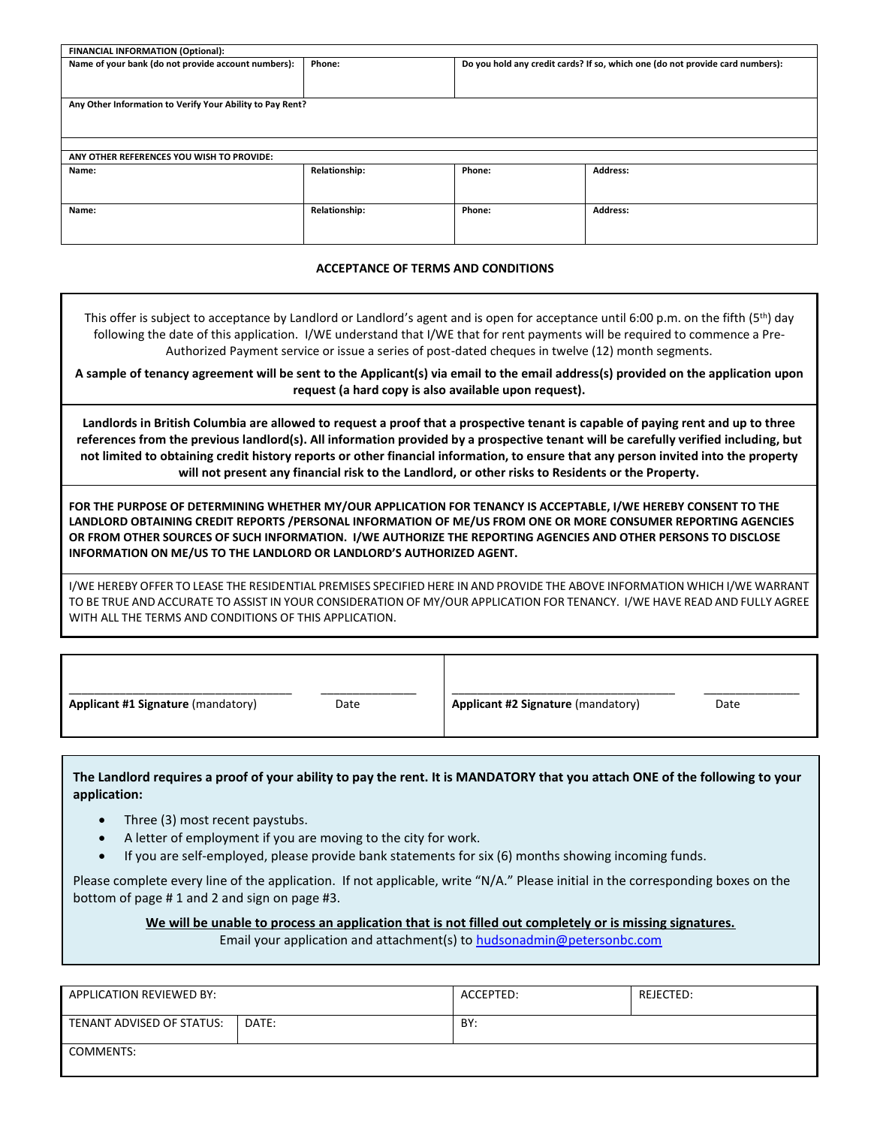| <b>FINANCIAL INFORMATION (Optional):</b>                  |                      |        |                                                                               |  |  |  |
|-----------------------------------------------------------|----------------------|--------|-------------------------------------------------------------------------------|--|--|--|
| Name of your bank (do not provide account numbers):       | Phone:               |        | Do you hold any credit cards? If so, which one (do not provide card numbers): |  |  |  |
| Any Other Information to Verify Your Ability to Pay Rent? |                      |        |                                                                               |  |  |  |
|                                                           |                      |        |                                                                               |  |  |  |
| ANY OTHER REFERENCES YOU WISH TO PROVIDE:                 |                      |        |                                                                               |  |  |  |
| Name:                                                     | <b>Relationship:</b> | Phone: | <b>Address:</b>                                                               |  |  |  |
| Name:                                                     | <b>Relationship:</b> | Phone: | <b>Address:</b>                                                               |  |  |  |

#### **ACCEPTANCE OF TERMS AND CONDITIONS**

This offer is subject to acceptance by Landlord or Landlord's agent and is open for acceptance until 6:00 p.m. on the fifth (5<sup>th</sup>) day following the date of this application. I/WE understand that I/WE that for rent payments will be required to commence a Pre-Authorized Payment service or issue a series of post-dated cheques in twelve (12) month segments.

**A sample of tenancy agreement will be sent to the Applicant(s) via email to the email address(s) provided on the application upon request (a hard copy is also available upon request).**

**Landlords in British Columbia are allowed to request a proof that a prospective tenant is capable of paying rent and up to three references from the previous landlord(s). All information provided by a prospective tenant will be carefully verified including, but not limited to obtaining credit history reports or other financial information, to ensure that any person invited into the property will not present any financial risk to the Landlord, or other risks to Residents or the Property.**

**FOR THE PURPOSE OF DETERMINING WHETHER MY/OUR APPLICATION FOR TENANCY IS ACCEPTABLE, I/WE HEREBY CONSENT TO THE LANDLORD OBTAINING CREDIT REPORTS /PERSONAL INFORMATION OF ME/US FROM ONE OR MORE CONSUMER REPORTING AGENCIES OR FROM OTHER SOURCES OF SUCH INFORMATION. I/WE AUTHORIZE THE REPORTING AGENCIES AND OTHER PERSONS TO DISCLOSE INFORMATION ON ME/US TO THE LANDLORD OR LANDLORD'S AUTHORIZED AGENT.**

I/WE HEREBY OFFER TO LEASE THE RESIDENTIAL PREMISES SPECIFIED HERE IN AND PROVIDE THE ABOVE INFORMATION WHICH I/WE WARRANT TO BE TRUE AND ACCURATE TO ASSIST IN YOUR CONSIDERATION OF MY/OUR APPLICATION FOR TENANCY. I/WE HAVE READ AND FULLY AGREE WITH ALL THE TERMS AND CONDITIONS OF THIS APPLICATION.

| Applicant #1 Signature (mandatory) | Date | Applicant #2 Signature (mandatory) | Date |
|------------------------------------|------|------------------------------------|------|

**The Landlord requires a proof of your ability to pay the rent. It is MANDATORY that you attach ONE of the following to your application:**

- Three (3) most recent paystubs.
- A letter of employment if you are moving to the city for work.
- If you are self-employed, please provide bank statements for six (6) months showing incoming funds.

Please complete every line of the application. If not applicable, write "N/A." Please initial in the corresponding boxes on the bottom of page # 1 and 2 and sign on page #3.

**We will be unable to process an application that is not filled out completely or is missing signatures.**

Email your application and attachment(s) to [hudsonadmin@petersonbc.com](mailto:hudsonrentals@petersonbc.com)

| APPLICATION REVIEWED BY:  |       | ACCEPTED: | REJECTED: |
|---------------------------|-------|-----------|-----------|
| TENANT ADVISED OF STATUS: | DATE: | BY:       |           |
| <b>COMMENTS:</b>          |       |           |           |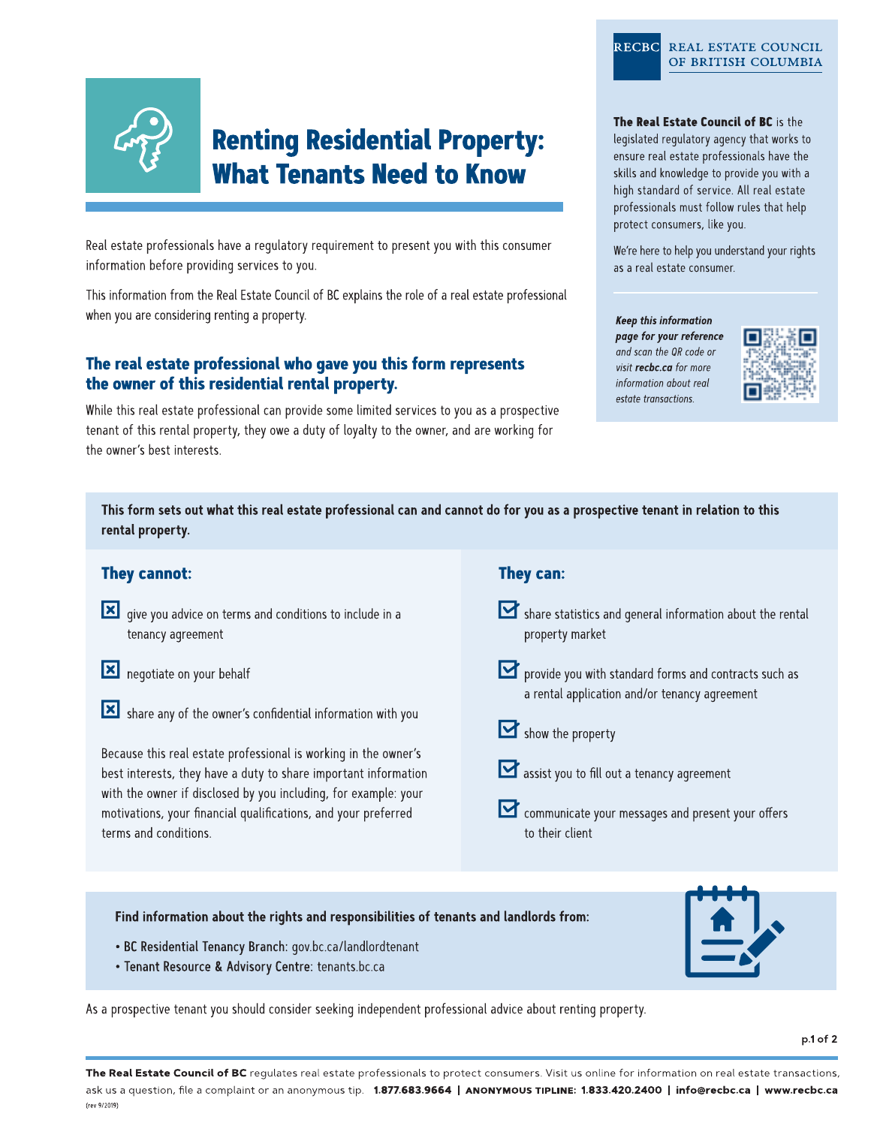

# **Renting Residential Property: What Tenants Need to Know**

Real estate professionals have a regulatory requirement to present you with this consumer information before providing services to you.

This information from the Real Estate Council of BC explains the role of a real estate professional when you are considering renting a property.

## The real estate professional who gave you this form represents the owner of this residential rental property.

While this real estate professional can provide some limited services to you as a prospective tenant of this rental property, they owe a duty of loyalty to the owner, and are working for the owner's best interests.

### RECBC REAL ESTATE COUNCIL OF BRITISH COLUMBIA

The Real Estate Council of BC is the

legislated regulatory agency that works to ensure real estate professionals have the skills and knowledge to provide you with a high standard of service. All real estate professionals must follow rules that help protect consumers, like you.

We're here to help you understand your rights as a real estate consumer.

#### **Keep this information**

page for your reference and scan the QR code or visit recbc.ca for more information about real estate transactions.



This form sets out what this real estate professional can and cannot do for you as a prospective tenant in relation to this rental property.

## **They cannot:**

- solar give you advice on terms and conditions to include in a tenancy agreement
- negotiate on your behalf
- Share any of the owner's confidential information with you

Because this real estate professional is working in the owner's best interests, they have a duty to share important information with the owner if disclosed by you including, for example: your motivations, your financial qualifications, and your preferred terms and conditions.

## They can:

Share statistics and general information about the rental property market

provide you with standard forms and contracts such as a rental application and/or tenancy agreement

- $\mathbf{M}$  show the property
- assist you to fill out a tenancy agreement
- Communicate your messages and present your offers to their client

Find information about the rights and responsibilities of tenants and landlords from:

- · BC Residential Tenancy Branch: gov.bc.ca/landlordtenant
- · Tenant Resource & Advisory Centre: tenants.bc.ca

As a prospective tenant you should consider seeking independent professional advice about renting property.

The Real Estate Council of BC regulates real estate professionals to protect consumers. Visit us online for information on real estate transactions, ask us a question, file a complaint or an anonymous tip. 1.877.683.9664 | ANONYMOUS TIPLINE: 1.833.420.2400 | info@recbc.ca | www.recbc.ca (rev 9/2019)